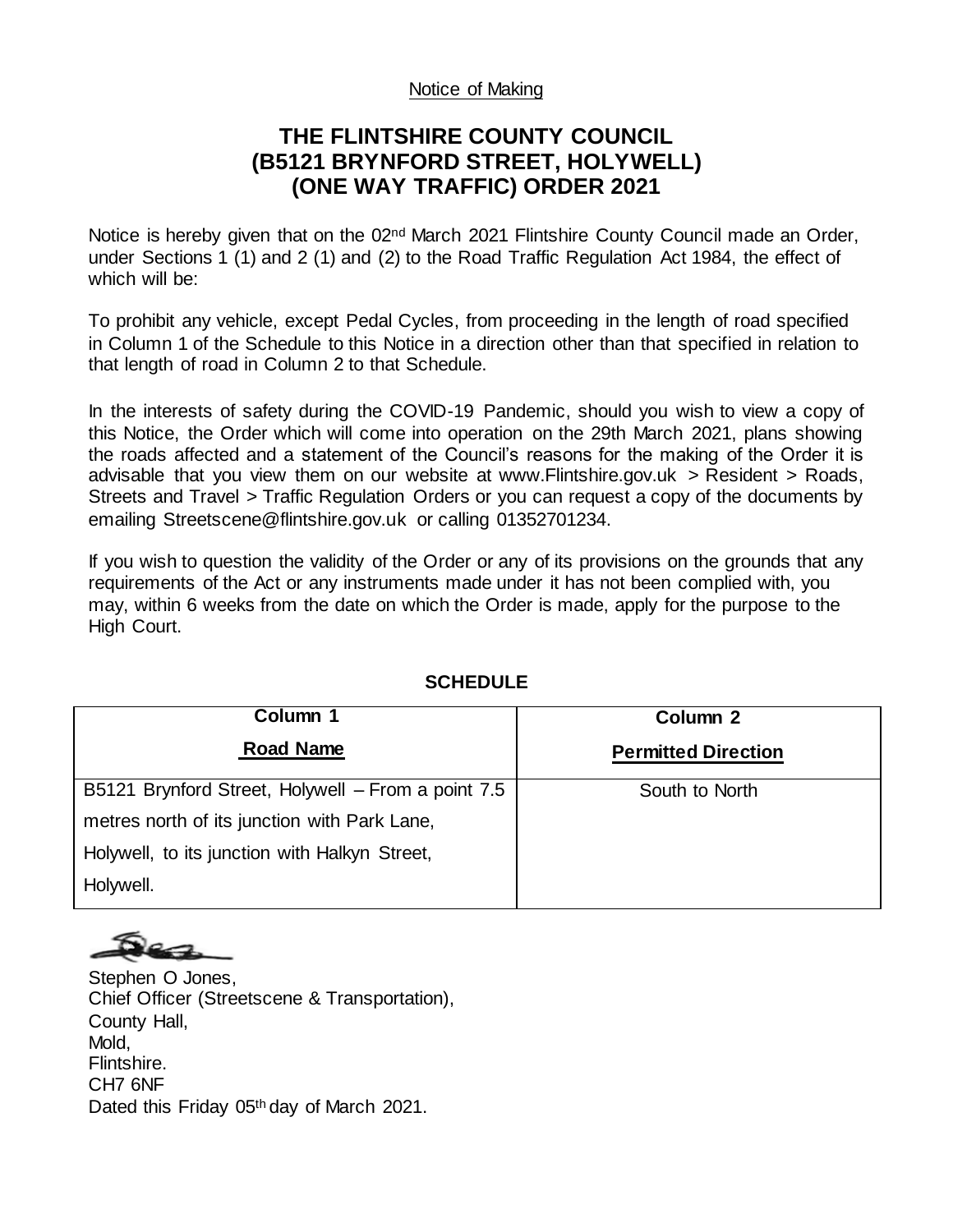#### Notice of Making

# **THE FLINTSHIRE COUNTY COUNCIL (B5121 BRYNFORD STREET, HOLYWELL) (ONE WAY TRAFFIC) ORDER 2021**

Notice is hereby given that on the 02<sup>nd</sup> March 2021 Flintshire County Council made an Order, under Sections 1 (1) and 2 (1) and (2) to the Road Traffic Regulation Act 1984, the effect of which will be:

To prohibit any vehicle, except Pedal Cycles, from proceeding in the length of road specified in Column 1 of the Schedule to this Notice in a direction other than that specified in relation to that length of road in Column 2 to that Schedule.

In the interests of safety during the COVID-19 Pandemic, should you wish to view a copy of this Notice, the Order which will come into operation on the 29th March 2021, plans showing the roads affected and a statement of the Council's reasons for the making of the Order it is advisable that you view them on our website at www. Flintshire.gov.uk  $>$  Resident  $>$  Roads, Streets and Travel > Traffic Regulation Orders or you can request a copy of the documents by emailing Streetscene@flintshire.gov.uk or calling 01352701234.

If you wish to question the validity of the Order or any of its provisions on the grounds that any requirements of the Act or any instruments made under it has not been complied with, you may, within 6 weeks from the date on which the Order is made, apply for the purpose to the High Court.

| Column 1                                           | Column <sub>2</sub>        |  |  |  |
|----------------------------------------------------|----------------------------|--|--|--|
| <b>Road Name</b>                                   | <b>Permitted Direction</b> |  |  |  |
| B5121 Brynford Street, Holywell - From a point 7.5 | South to North             |  |  |  |
| metres north of its junction with Park Lane,       |                            |  |  |  |
| Holywell, to its junction with Halkyn Street,      |                            |  |  |  |
| Holywell.                                          |                            |  |  |  |

### **SCHEDULE**

Stephen O Jones, Chief Officer (Streetscene & Transportation), County Hall, Mold. Flintshire. CH7 6NF Dated this Friday 05th day of March 2021.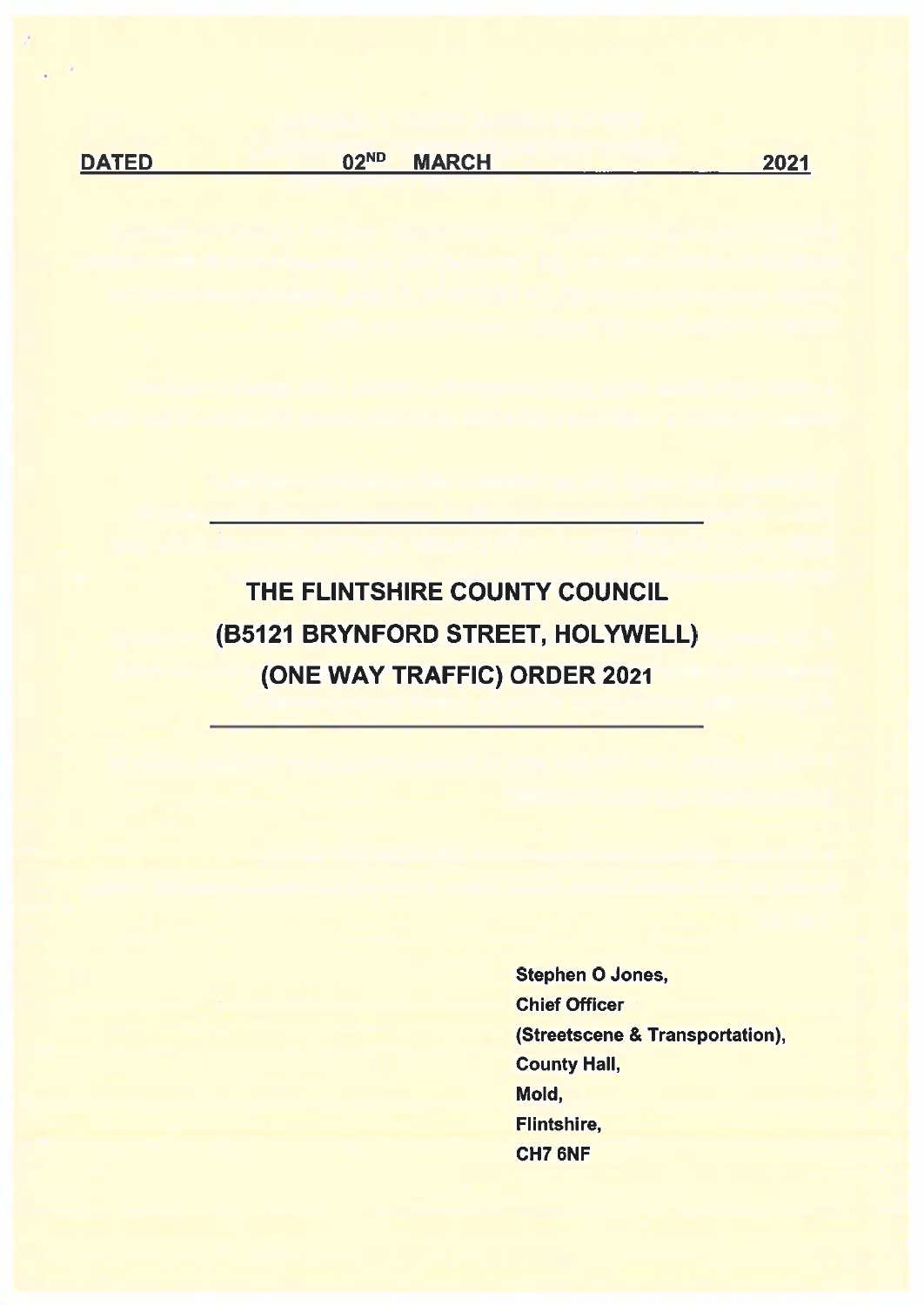|  | <b>DATED</b> |  |  |  |  |  |
|--|--------------|--|--|--|--|--|
|  |              |  |  |  |  |  |

2021

THE FLINTSHIRE COUNTY COUNCIL (B5121 BRYNFORD STREET, HOLYWELL) (ONE WAY TRAFFIC) ORDER 2021

> **Stephen O Jones, Chief Officer** (Streetscene & Transportation), **County Hall,** Mold. Flintshire, CH7 6NF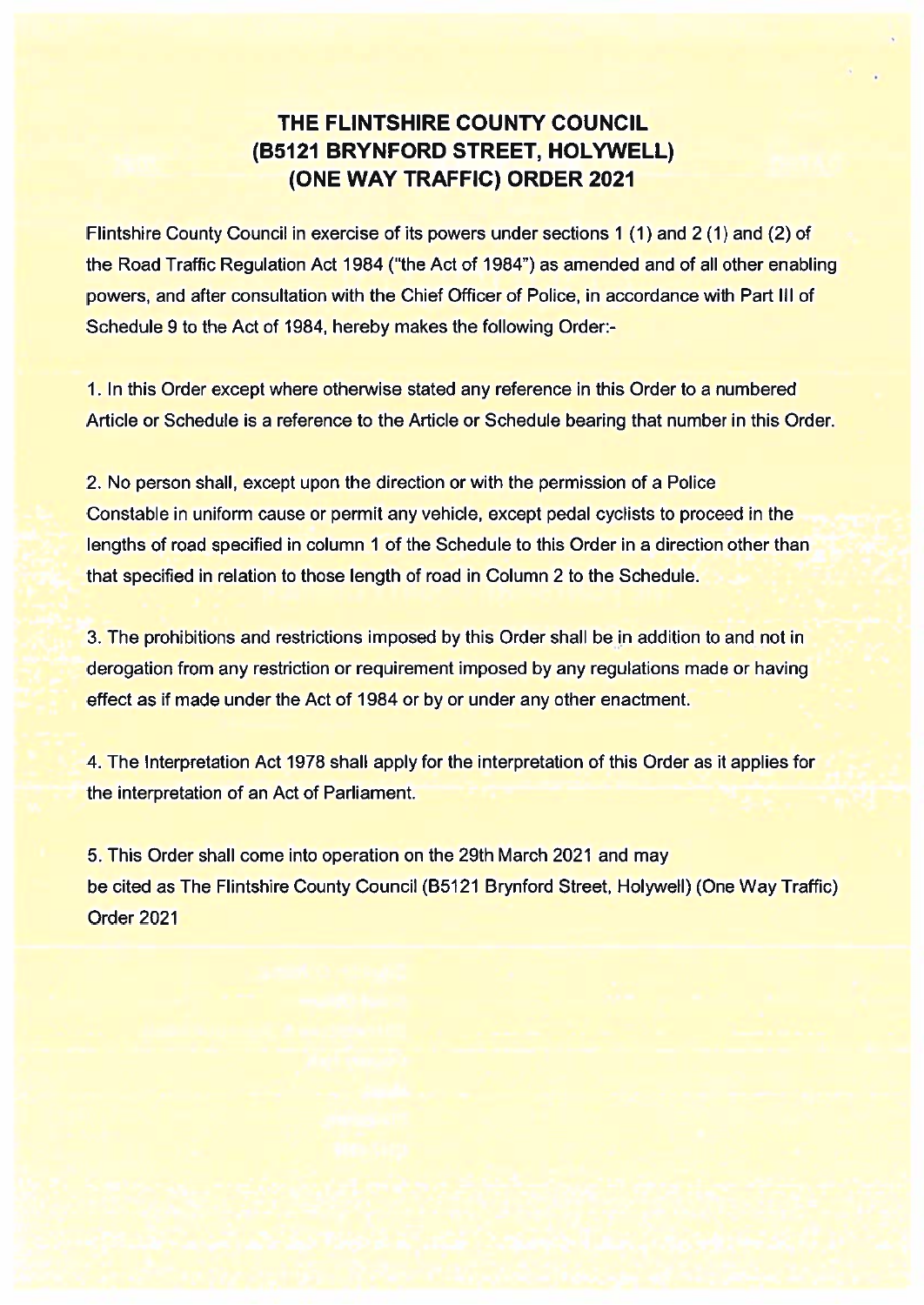# THE FLINTSHIRE COUNTY COUNCIL (B5121 BRYNFORD STREET, HOLYWELL) (ONE WAY TRAFFIC) ORDER 2021

Flintshire County Council in exercise of its powers under sections 1 (1) and 2 (1) and (2) of the Road Traffic Regulation Act 1984 ("the Act of 1984") as amended and of all other enabling powers, and after consultation with the Chief Officer of Police, in accordance with Part III of Schedule 9 to the Act of 1984, hereby makes the following Order:-

1. In this Order except where otherwise stated any reference in this Order to a numbered Article or Schedule is a reference to the Article or Schedule bearing that number in this Order.

2. No person shall, except upon the direction or with the permission of a Police Constable in uniform cause or permit any vehicle, except pedal cyclists to proceed in the lengths of road specified in column 1 of the Schedule to this Order in a direction other than that specified in relation to those length of road in Column 2 to the Schedule.

3. The prohibitions and restrictions imposed by this Order shall be in addition to and not in derogation from any restriction or requirement imposed by any regulations made or having effect as if made under the Act of 1984 or by or under any other enactment.

4. The Interpretation Act 1978 shall apply for the interpretation of this Order as it applies for the interpretation of an Act of Parliament.

5. This Order shall come into operation on the 29th March 2021 and may be cited as The Flintshire County Council (B5121 Brynford Street, Holywell) (One Way Traffic) Order 2021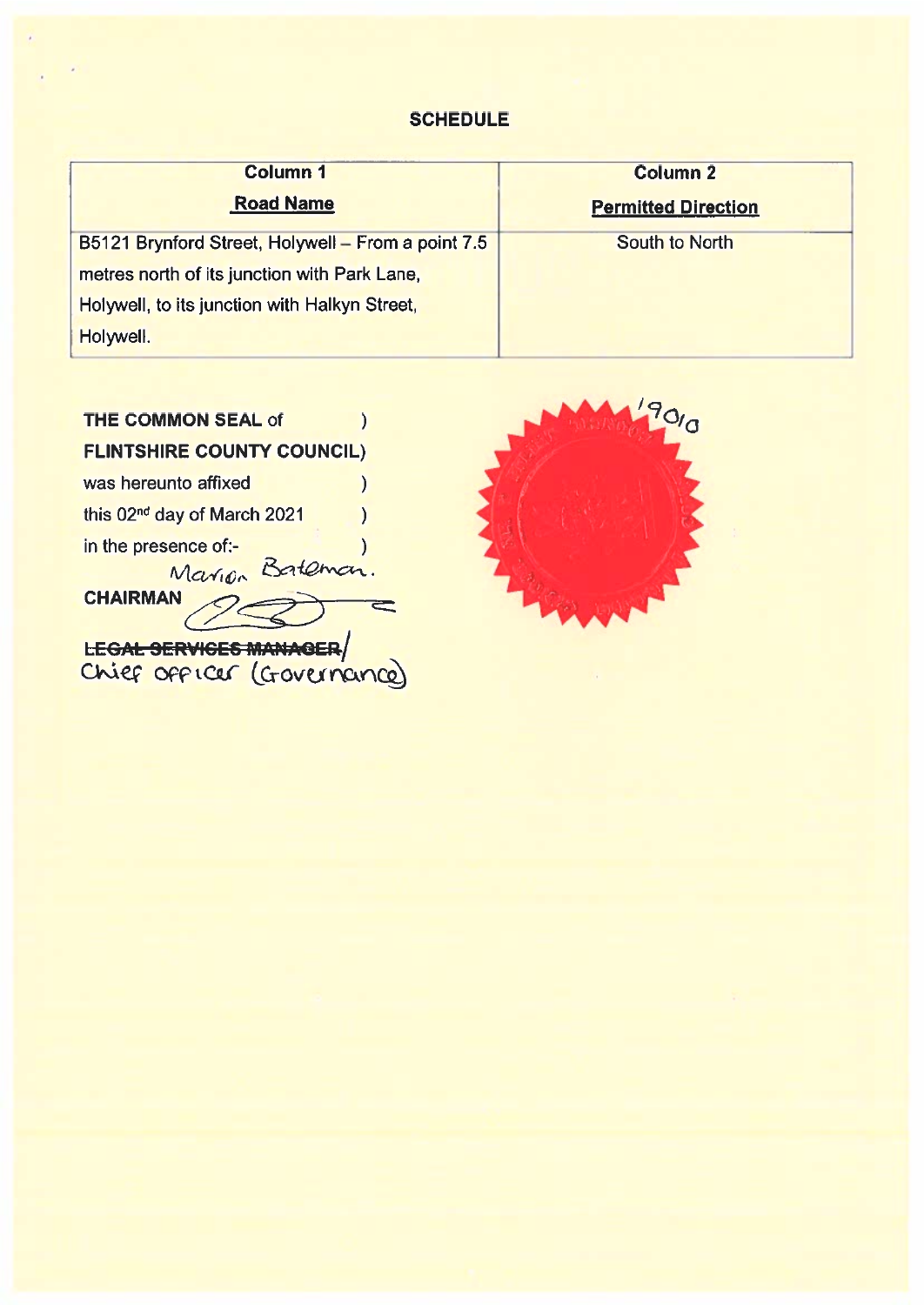#### **SCHEDULE**

| <b>Column 1</b>                                    | <b>Column 2</b>            |  |  |  |
|----------------------------------------------------|----------------------------|--|--|--|
| <b>Road Name</b>                                   | <b>Permitted Direction</b> |  |  |  |
| B5121 Brynford Street, Holywell - From a point 7.5 | <b>South to North</b>      |  |  |  |
| metres north of its junction with Park Lane,       |                            |  |  |  |
| Holywell, to its junction with Halkyn Street,      |                            |  |  |  |
| Holywell.                                          |                            |  |  |  |



LEGAL SERVICES MANAGER/<br>Chief officer (Grovernance)

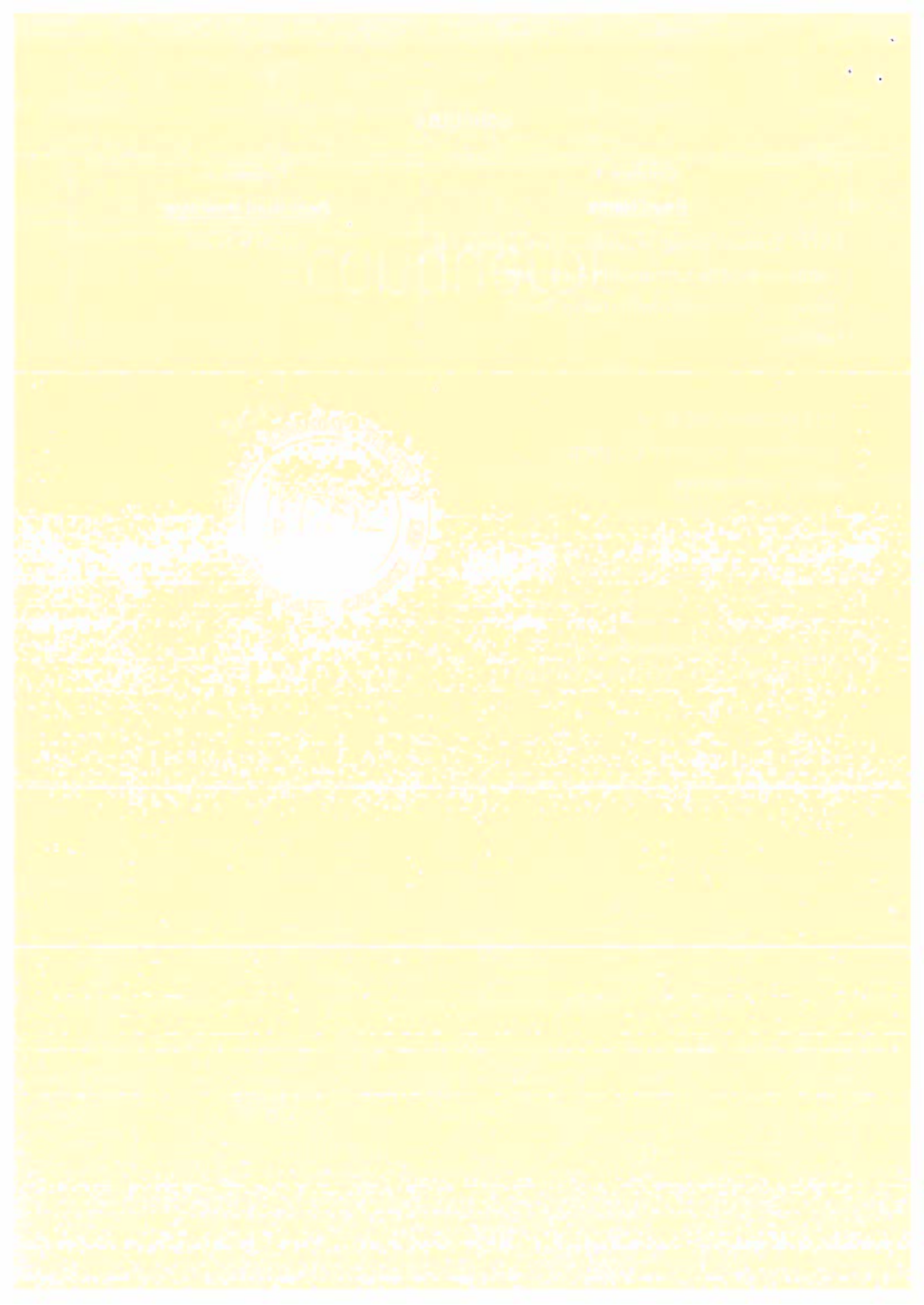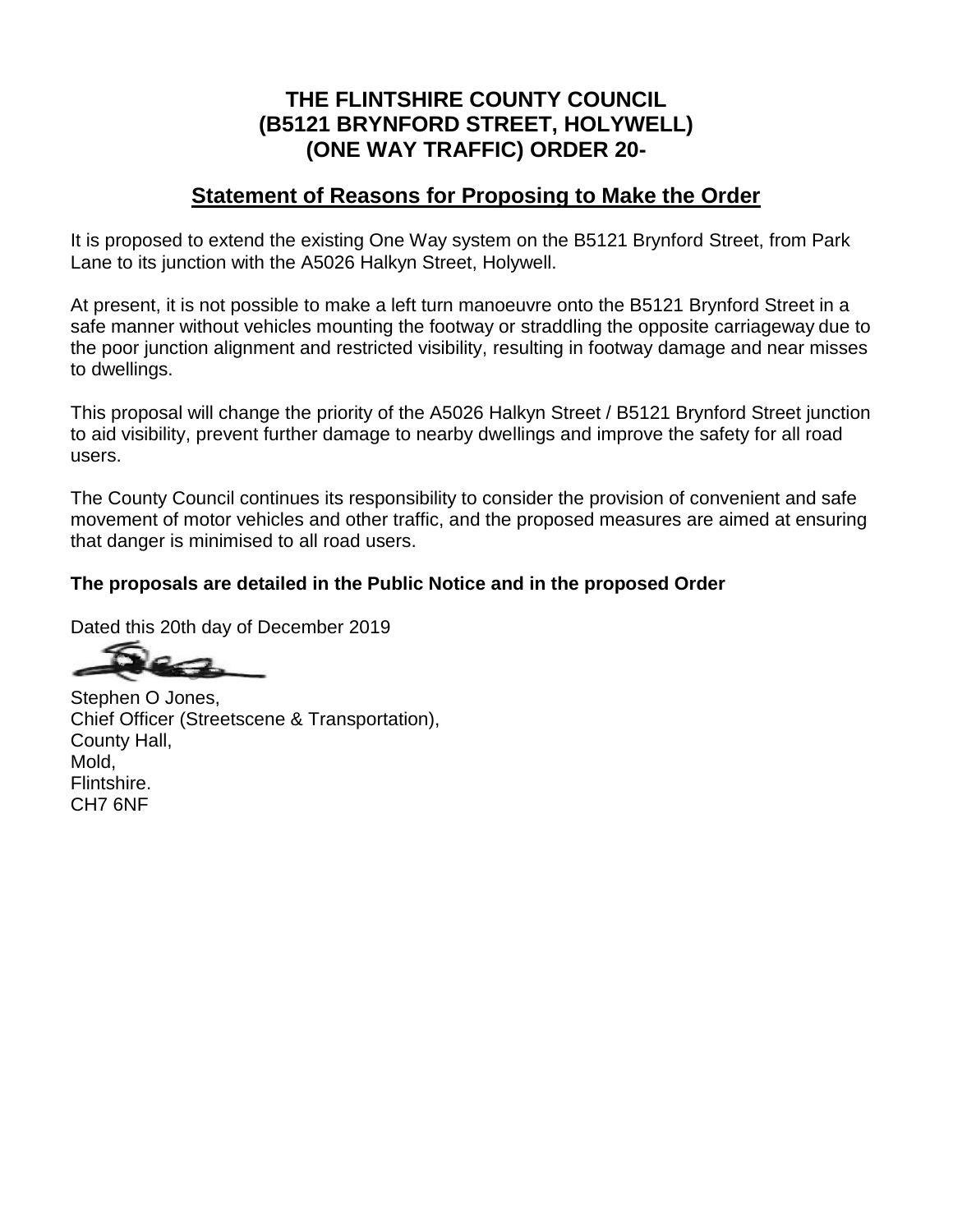## **THE FLINTSHIRE COUNTY COUNCIL (B5121 BRYNFORD STREET, HOLYWELL) (ONE WAY TRAFFIC) ORDER 20-**

## **Statement of Reasons for Proposing to Make the Order**

It is proposed to extend the existing One Way system on the B5121 Brynford Street, from Park Lane to its junction with the A5026 Halkyn Street, Holywell.

At present, it is not possible to make a left turn manoeuvre onto the B5121 Brynford Street in a safe manner without vehicles mounting the footway or straddling the opposite carriageway due to the poor junction alignment and restricted visibility, resulting in footway damage and near misses to dwellings.

This proposal will change the priority of the A5026 Halkyn Street / B5121 Brynford Street junction to aid visibility, prevent further damage to nearby dwellings and improve the safety for all road users.

The County Council continues its responsibility to consider the provision of convenient and safe movement of motor vehicles and other traffic, and the proposed measures are aimed at ensuring that danger is minimised to all road users.

### **The proposals are detailed in the Public Notice and in the proposed Order**

Dated this 20th day of December 2019

Stephen O Jones, Chief Officer (Streetscene & Transportation), County Hall, Mold, Flintshire. CH7 6NF